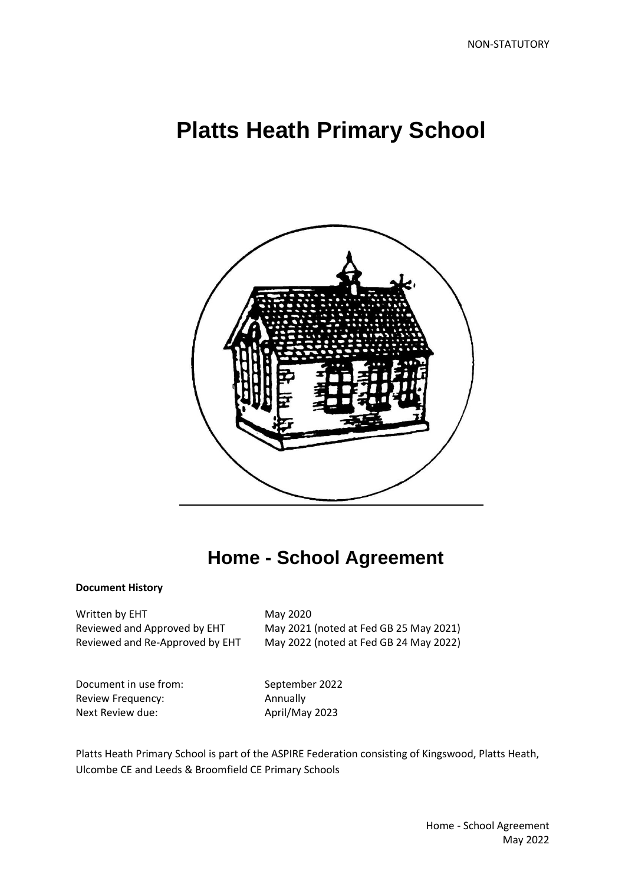# **Platts Heath Primary School**



## **Home - School Agreement**

#### **Document History**

Written by EHT May 2020

Reviewed and Approved by EHT May 2021 (noted at Fed GB 25 May 2021) Reviewed and Re-Approved by EHT May 2022 (noted at Fed GB 24 May 2022)

Document in use from: September 2022 Review Frequency: Annually Next Review due: April/May 2023

Platts Heath Primary School is part of the ASPIRE Federation consisting of Kingswood, Platts Heath, Ulcombe CE and Leeds & Broomfield CE Primary Schools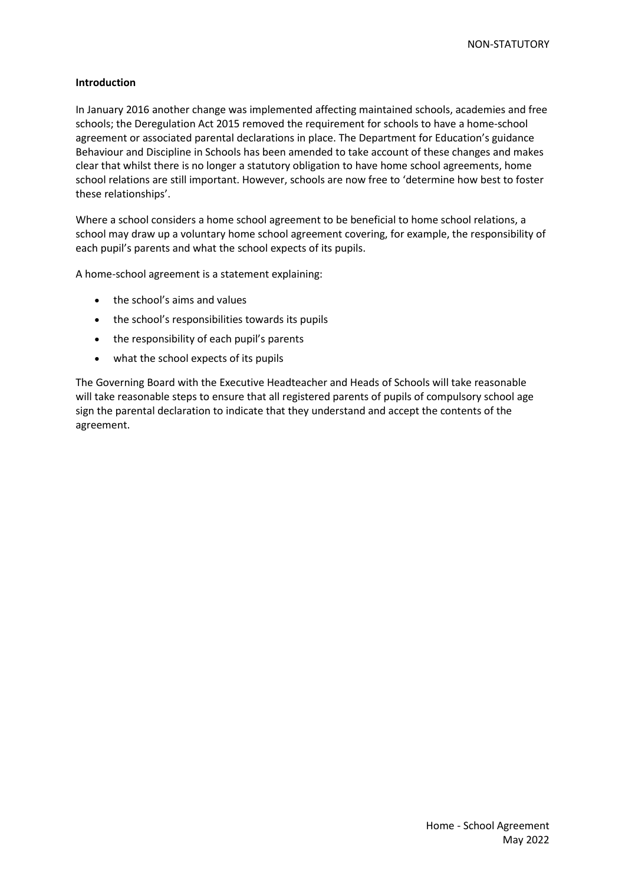#### **Introduction**

In January 2016 another change was implemented affecting maintained schools, academies and free schools; the Deregulation Act 2015 removed the requirement for schools to have a home-school agreement or associated parental declarations in place. The Department for Education's guidance Behaviour and Discipline in Schools has been amended to take account of these changes and makes clear that whilst there is no longer a statutory obligation to have home school agreements, home school relations are still important. However, schools are now free to 'determine how best to foster these relationships'.

Where a school considers a home school agreement to be beneficial to home school relations, a school may draw up a voluntary home school agreement covering, for example, the responsibility of each pupil's parents and what the school expects of its pupils.

A home-school agreement is a statement explaining:

- the school's aims and values
- the school's responsibilities towards its pupils
- the responsibility of each pupil's parents
- what the school expects of its pupils

The Governing Board with the Executive Headteacher and Heads of Schools will take reasonable will take reasonable steps to ensure that all registered parents of pupils of compulsory school age sign the parental declaration to indicate that they understand and accept the contents of the agreement.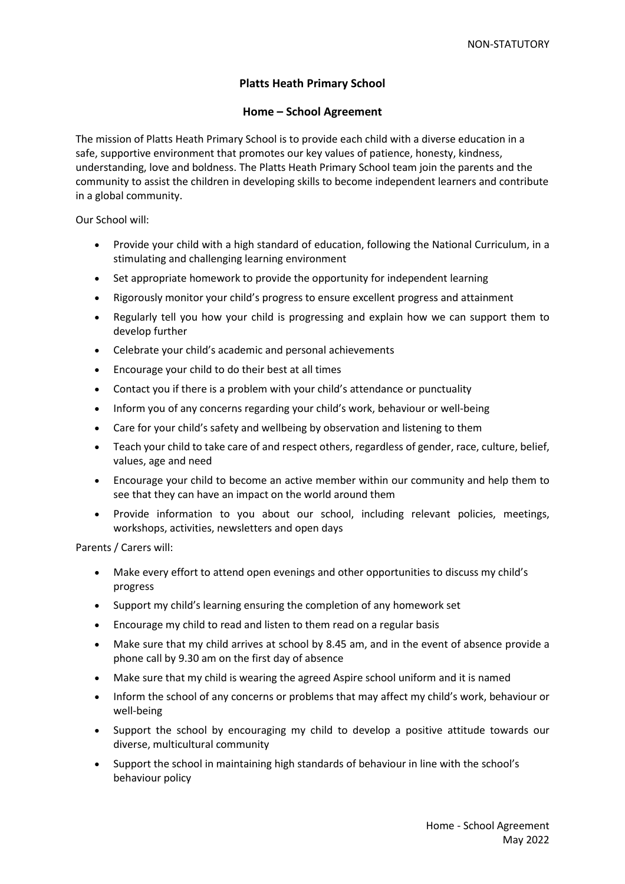### **Platts Heath Primary School**

#### **Home – School Agreement**

The mission of Platts Heath Primary School is to provide each child with a diverse education in a safe, supportive environment that promotes our key values of patience, honesty, kindness, understanding, love and boldness. The Platts Heath Primary School team join the parents and the community to assist the children in developing skills to become independent learners and contribute in a global community.

Our School will:

- Provide your child with a high standard of education, following the National Curriculum, in a stimulating and challenging learning environment
- Set appropriate homework to provide the opportunity for independent learning
- Rigorously monitor your child's progress to ensure excellent progress and attainment
- Regularly tell you how your child is progressing and explain how we can support them to develop further
- Celebrate your child's academic and personal achievements
- Encourage your child to do their best at all times
- Contact you if there is a problem with your child's attendance or punctuality
- Inform you of any concerns regarding your child's work, behaviour or well-being
- Care for your child's safety and wellbeing by observation and listening to them
- Teach your child to take care of and respect others, regardless of gender, race, culture, belief, values, age and need
- Encourage your child to become an active member within our community and help them to see that they can have an impact on the world around them
- Provide information to you about our school, including relevant policies, meetings, workshops, activities, newsletters and open days

Parents / Carers will:

- Make every effort to attend open evenings and other opportunities to discuss my child's progress
- Support my child's learning ensuring the completion of any homework set
- Encourage my child to read and listen to them read on a regular basis
- Make sure that my child arrives at school by 8.45 am, and in the event of absence provide a phone call by 9.30 am on the first day of absence
- Make sure that my child is wearing the agreed Aspire school uniform and it is named
- Inform the school of any concerns or problems that may affect my child's work, behaviour or well-being
- Support the school by encouraging my child to develop a positive attitude towards our diverse, multicultural community
- Support the school in maintaining high standards of behaviour in line with the school's behaviour policy